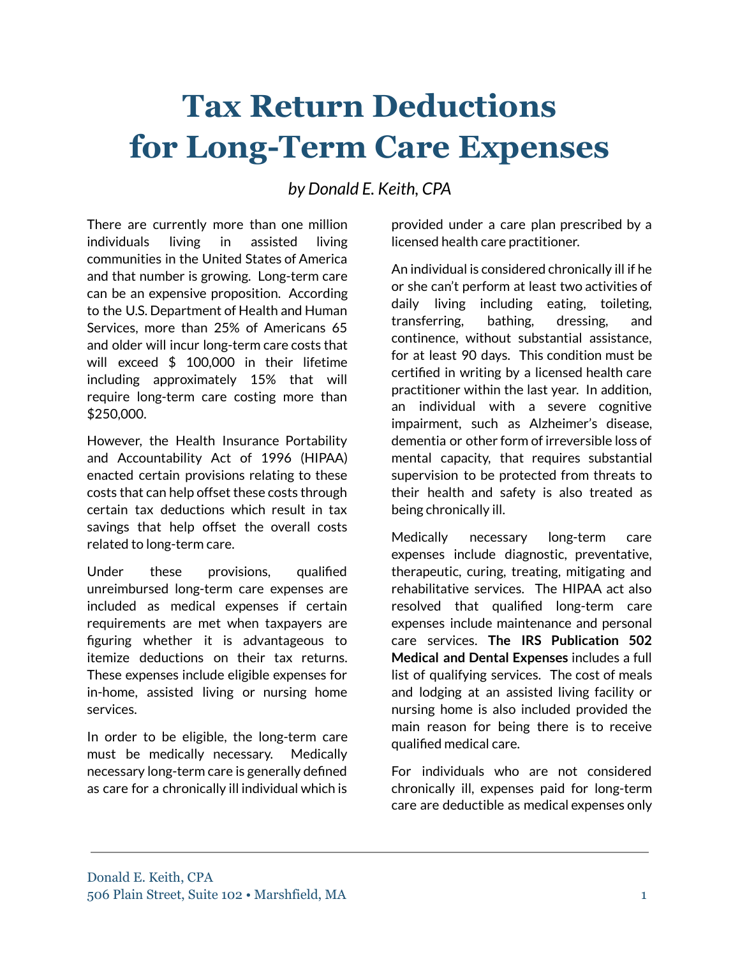## **Tax Return Deductions for Long-Term Care Expenses**

*by Donald E. Keith, CPA*

There are currently more than one million individuals living in assisted living communities in the United States of America and that number is growing. Long-term care can be an expensive proposition. According to the U.S. Department of Health and Human Services, more than 25% of Americans 65 and older will incur long-term care costs that will exceed \$ 100,000 in their lifetime including approximately 15% that will require long-term care costing more than \$250,000.

However, the Health Insurance Portability and Accountability Act of 1996 (HIPAA) enacted certain provisions relating to these costs that can help offset these costs through certain tax deductions which result in tax savings that help offset the overall costs related to long-term care.

Under these provisions, qualified unreimbursed long-term care expenses are included as medical expenses if certain requirements are met when taxpayers are figuring whether it is advantageous to itemize deductions on their tax returns. These expenses include eligible expenses for in-home, assisted living or nursing home services.

In order to be eligible, the long-term care must be medically necessary. Medically necessary long-term care is generally defined as care for a chronically ill individual which is

provided under a care plan prescribed by a licensed health care practitioner.

An individual is considered chronically ill if he or she can't perform at least two activities of daily living including eating, toileting, transferring, bathing, dressing, and continence, without substantial assistance, for at least 90 days. This condition must be certified in writing by a licensed health care practitioner within the last year. In addition, an individual with a severe cognitive impairment, such as Alzheimer's disease, dementia or other form of irreversible loss of mental capacity, that requires substantial supervision to be protected from threats to their health and safety is also treated as being chronically ill.

Medically necessary long-term care expenses include diagnostic, preventative, therapeutic, curing, treating, mitigating and rehabilitative services. The HIPAA act also resolved that qualified long-term care expenses include maintenance and personal care services. **The IRS Publication 502 Medical and Dental Expenses** includes a full list of qualifying services. The cost of meals and lodging at an assisted living facility or nursing home is also included provided the main reason for being there is to receive qualified medical care.

For individuals who are not considered chronically ill, expenses paid for long-term care are deductible as medical expenses only